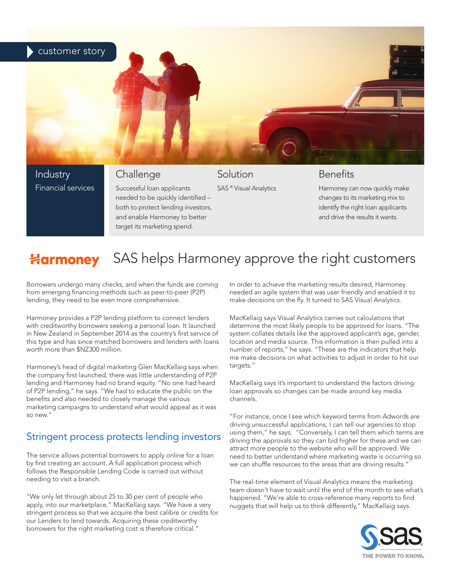

needed to be quickly identified – both to protect lending investors, and enable Harmoney to better target its marketing spend.

changes to its marketing mix to identify the right loan applicants and drive the results it wants.

## Harmoney SAS helps Harmoney approve the right customers

Borrowers undergo many checks, and when the funds are coming from emerging financing methods such as peer-to-peer (P2P) lending, they need to be even more comprehensive.

Harmoney provides a P2P lending platform to connect lenders with creditworthy borrowers seeking a personal loan. It launched in New Zealand in September 2014 as the country's first service of this type and has since matched borrowers and lenders with loans worth more than \$NZ300 million.

Harmoney's head of digital marketing Glen MacKellaig says when the company first launched, there was little understanding of P2P lending and Harmoney had no brand equity. "No one had heard of P2P lending," he says. "We had to educate the public on the benefits and also needed to closely manage the various marketing campaigns to understand what would appeal as it was so new."

## Stringent process protects lending investors

The service allows potential borrowers to apply online for a loan by first creating an account. A full application process which follows the Responsible Lending Code is carried out without needing to visit a branch.

"We only let through about 25 to 30 per cent of people who apply, into our marketplace," MacKellaig says. "We have a very stringent process so that we acquire the best calibre or credits for our Lenders to lend towards. Acquiring these creditworthy borrowers for the right marketing cost is therefore critical."

In order to achieve the marketing results desired, Harmoney needed an agile system that was user friendly and enabled it to make decisions on the fly. It turned to SAS Visual Analytics.

MacKellaig says Visual Analytics carries out calculations that determine the most likely people to be approved for loans. "The system collates details like the approved applicant's age, gender, location and media source. This information is then pulled into a number of reports," he says. "These are the indicators that help me make decisions on what activities to adjust in order to hit our targets."

MacKellaig says it's important to understand the factors driving loan approvals so changes can be made around key media channels.

"For instance, once I see which keyword terms from Adwords are driving unsuccessful applications, I can tell our agencies to stop using them," he says. "Conversely, I can tell them which terms are driving the approvals so they can bid higher for these and we can attract more people to the website who will be approved. We need to better understand where marketing waste is occurring so we can shuffle resources to the areas that are driving results."

The real-time element of Visual Analytics means the marketing team doesn't have to wait until the end of the month to see what's happened. "We're able to cross-reference many reports to find nuggets that will help us to think differently," MacKellaig says.